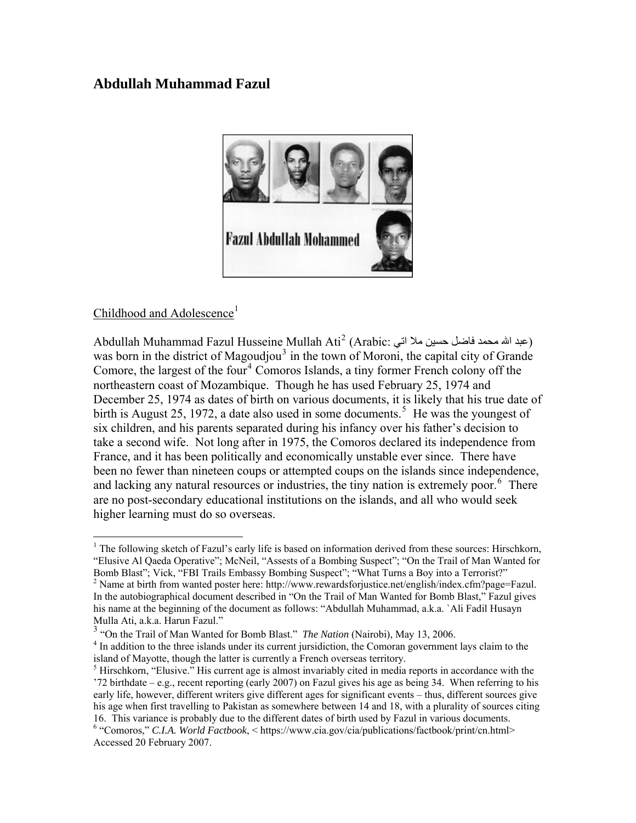# **Abdullah Muhammad Fazul**



## Childhood and Adolescence<sup>[1](#page-0-0)</sup>

 $\overline{a}$ 

Abdullah Muhammad Fazul Husseine Mullah Ati $^2$  $^2$  (Arabic: عبد الله محمد فاضل حسين ملا اتي) was born in the district of Magoudjou<sup>[3](#page-0-2)</sup> in the town of Moroni, the capital city of Grande Comore, the largest of the four<sup>[4](#page-0-3)</sup> Comoros Islands, a tiny former French colony off the northeastern coast of Mozambique. Though he has used February 25, 1974 and December 25, 1974 as dates of birth on various documents, it is likely that his true date of birth is August 2[5](#page-0-4), 1972, a date also used in some documents.<sup>5</sup> He was the youngest of six children, and his parents separated during his infancy over his father's decision to take a second wife. Not long after in 1975, the Comoros declared its independence from France, and it has been politically and economically unstable ever since. There have been no fewer than nineteen coups or attempted coups on the islands since independence, and lacking any natural resources or industries, the tiny nation is extremely poor.<sup>[6](#page-0-5)</sup> There are no post-secondary educational institutions on the islands, and all who would seek higher learning must do so overseas.

<span id="page-0-0"></span><sup>&</sup>lt;sup>1</sup> The following sketch of Fazul's early life is based on information derived from these sources: Hirschkorn, "Elusive Al Qaeda Operative"; McNeil, "Assests of a Bombing Suspect"; "On the Trail of Man Wanted for Bomb Blast"; Vick, "FBI Trails Embassy Bombing Suspect"; "What Turns a Boy into a Terrorist?" <sup>2</sup> Name at birth from wanted poster here: http://www.rewardsforjustice.net/english/index.cfm?page=Fazul.

<span id="page-0-1"></span>In the autobiographical document described in "On the Trail of Man Wanted for Bomb Blast," Fazul gives his name at the beginning of the document as follows: "Abdullah Muhammad, a.k.a. `Ali Fadil Husayn Mulla Ati, a.k.a. Harun Fazul."

<span id="page-0-2"></span><sup>&</sup>lt;sup>3</sup> "On the Trail of Man Wanted for Bomb Blast." *The Nation* (Nairobi), May 13, 2006.

<span id="page-0-3"></span><sup>&</sup>lt;sup>4</sup> In addition to the three islands under its current jursidiction, the Comoran government lays claim to the island of Mayotte, though the latter is currently a French overseas territory.

<span id="page-0-4"></span><sup>&</sup>lt;sup>5</sup> Hirschkorn, "Elusive." His current age is almost invariably cited in media reports in accordance with the '72 birthdate – e.g., recent reporting (early 2007) on Fazul gives his age as being 34. When referring to his early life, however, different writers give different ages for significant events – thus, different sources give his age when first travelling to Pakistan as somewhere between 14 and 18, with a plurality of sources citing 16. This variance is probably due to the different dates of birth used by Fazul in various documents.

<span id="page-0-5"></span><sup>6</sup> "Comoros," *C.I.A. World Factbook*, < https://www.cia.gov/cia/publications/factbook/print/cn.html> Accessed 20 February 2007.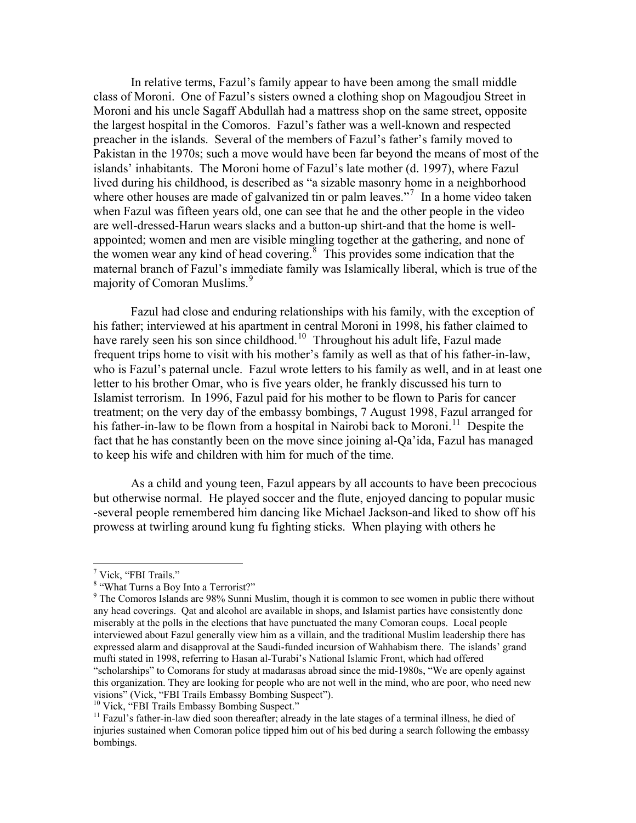In relative terms, Fazul's family appear to have been among the small middle class of Moroni. One of Fazul's sisters owned a clothing shop on Magoudjou Street in Moroni and his uncle Sagaff Abdullah had a mattress shop on the same street, opposite the largest hospital in the Comoros. Fazul's father was a well-known and respected preacher in the islands. Several of the members of Fazul's father's family moved to Pakistan in the 1970s; such a move would have been far beyond the means of most of the islands' inhabitants. The Moroni home of Fazul's late mother (d. 1997), where Fazul lived during his childhood, is described as "a sizable masonry home in a neighborhood where other houses are made of galvanized tin or palm leaves."<sup>[7](#page-1-0)</sup> In a home video taken when Fazul was fifteen years old, one can see that he and the other people in the video are well-dressed-Harun wears slacks and a button-up shirt-and that the home is wellappointed; women and men are visible mingling together at the gathering, and none of the women wear any kind of head covering.<sup>[8](#page-1-1)</sup> This provides some indication that the maternal branch of Fazul's immediate family was Islamically liberal, which is true of the majority of Comoran Muslims.<sup>[9](#page-1-2)</sup>

Fazul had close and enduring relationships with his family, with the exception of his father; interviewed at his apartment in central Moroni in 1998, his father claimed to have rarely seen his son since childhood.<sup>[10](#page-1-3)</sup> Throughout his adult life, Fazul made frequent trips home to visit with his mother's family as well as that of his father-in-law, who is Fazul's paternal uncle. Fazul wrote letters to his family as well, and in at least one letter to his brother Omar, who is five years older, he frankly discussed his turn to Islamist terrorism. In 1996, Fazul paid for his mother to be flown to Paris for cancer treatment; on the very day of the embassy bombings, 7 August 1998, Fazul arranged for his father-in-law to be flown from a hospital in Nairobi back to Moroni.<sup>[11](#page-1-4)</sup> Despite the fact that he has constantly been on the move since joining al-Qa'ida, Fazul has managed to keep his wife and children with him for much of the time.

As a child and young teen, Fazul appears by all accounts to have been precocious but otherwise normal. He played soccer and the flute, enjoyed dancing to popular music -several people remembered him dancing like Michael Jackson-and liked to show off his prowess at twirling around kung fu fighting sticks. When playing with others he

<span id="page-1-0"></span><sup>&</sup>lt;sup>7</sup> Vick, "FBI Trails."

<span id="page-1-1"></span><sup>&</sup>lt;sup>8</sup> "What Turns a Boy Into a Terrorist?"

<span id="page-1-2"></span><sup>&</sup>lt;sup>9</sup> The Comoros Islands are 98% Sunni Muslim, though it is common to see women in public there without any head coverings. Qat and alcohol are available in shops, and Islamist parties have consistently done miserably at the polls in the elections that have punctuated the many Comoran coups. Local people interviewed about Fazul generally view him as a villain, and the traditional Muslim leadership there has expressed alarm and disapproval at the Saudi-funded incursion of Wahhabism there. The islands' grand mufti stated in 1998, referring to Hasan al-Turabi's National Islamic Front, which had offered "scholarships" to Comorans for study at madarasas abroad since the mid-1980s, "We are openly against

this organization. They are looking for people who are not well in the mind, who are poor, who need new visions" (Vick, "FBI Trails Embassy Bombing Suspect"). 10 Vick, "FBI Trails Embassy Bombing Suspect."

<span id="page-1-3"></span>

<span id="page-1-4"></span> $11$  Fazul's father-in-law died soon thereafter; already in the late stages of a terminal illness, he died of injuries sustained when Comoran police tipped him out of his bed during a search following the embassy bombings.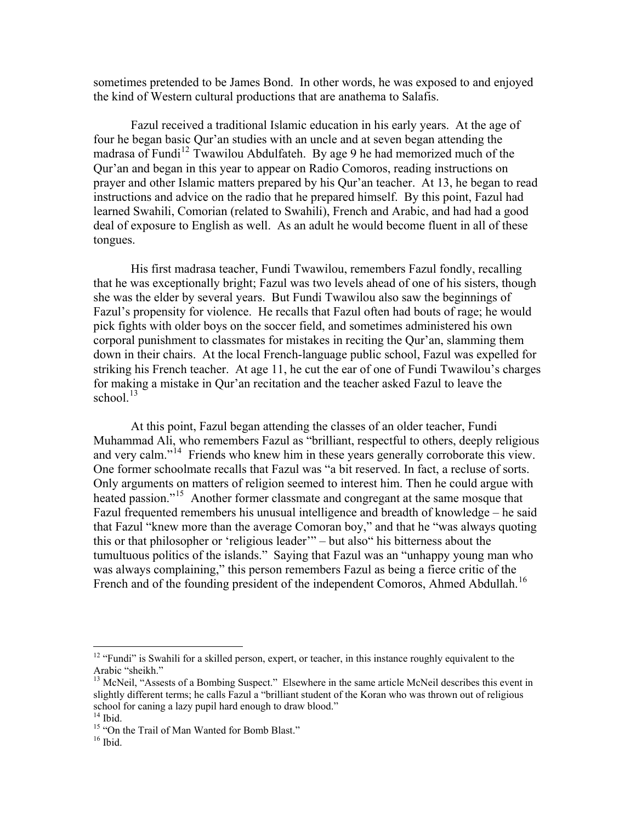sometimes pretended to be James Bond. In other words, he was exposed to and enjoyed the kind of Western cultural productions that are anathema to Salafis.

Fazul received a traditional Islamic education in his early years. At the age of four he began basic Qur'an studies with an uncle and at seven began attending the madrasa of Fundi<sup>[12](#page-2-0)</sup> Twawilou Abdulfateh. By age 9 he had memorized much of the Qur'an and began in this year to appear on Radio Comoros, reading instructions on prayer and other Islamic matters prepared by his Qur'an teacher. At 13, he began to read instructions and advice on the radio that he prepared himself. By this point, Fazul had learned Swahili, Comorian (related to Swahili), French and Arabic, and had had a good deal of exposure to English as well. As an adult he would become fluent in all of these tongues.

His first madrasa teacher, Fundi Twawilou, remembers Fazul fondly, recalling that he was exceptionally bright; Fazul was two levels ahead of one of his sisters, though she was the elder by several years. But Fundi Twawilou also saw the beginnings of Fazul's propensity for violence. He recalls that Fazul often had bouts of rage; he would pick fights with older boys on the soccer field, and sometimes administered his own corporal punishment to classmates for mistakes in reciting the Qur'an, slamming them down in their chairs. At the local French-language public school, Fazul was expelled for striking his French teacher. At age 11, he cut the ear of one of Fundi Twawilou's charges for making a mistake in Qur'an recitation and the teacher asked Fazul to leave the school. $13$ 

At this point, Fazul began attending the classes of an older teacher, Fundi Muhammad Ali, who remembers Fazul as "brilliant, respectful to others, deeply religious and very calm."<sup>[14](#page-2-2)</sup> Friends who knew him in these years generally corroborate this view. One former schoolmate recalls that Fazul was "a bit reserved. In fact, a recluse of sorts. Only arguments on matters of religion seemed to interest him. Then he could argue with heated passion."<sup>[15](#page-2-3)</sup> Another former classmate and congregant at the same mosque that Fazul frequented remembers his unusual intelligence and breadth of knowledge – he said that Fazul "knew more than the average Comoran boy," and that he "was always quoting this or that philosopher or 'religious leader'" – but also" his bitterness about the tumultuous politics of the islands." Saying that Fazul was an "unhappy young man who was always complaining," this person remembers Fazul as being a fierce critic of the French and of the founding president of the independent Comoros, Ahmed Abdullah.<sup>[16](#page-2-4)</sup>

<span id="page-2-0"></span> $12$  "Fundi" is Swahili for a skilled person, expert, or teacher, in this instance roughly equivalent to the Arabic "sheikh."

<span id="page-2-1"></span><sup>&</sup>lt;sup>13</sup> McNeil, "Assests of a Bombing Suspect." Elsewhere in the same article McNeil describes this event in slightly different terms; he calls Fazul a "brilliant student of the Koran who was thrown out of religious school for caning a lazy pupil hard enough to draw blood."

 $14$  Ibid.

<span id="page-2-3"></span><span id="page-2-2"></span><sup>&</sup>lt;sup>15</sup> "On the Trail of Man Wanted for Bomb Blast."

<span id="page-2-4"></span> $16$  Ibid.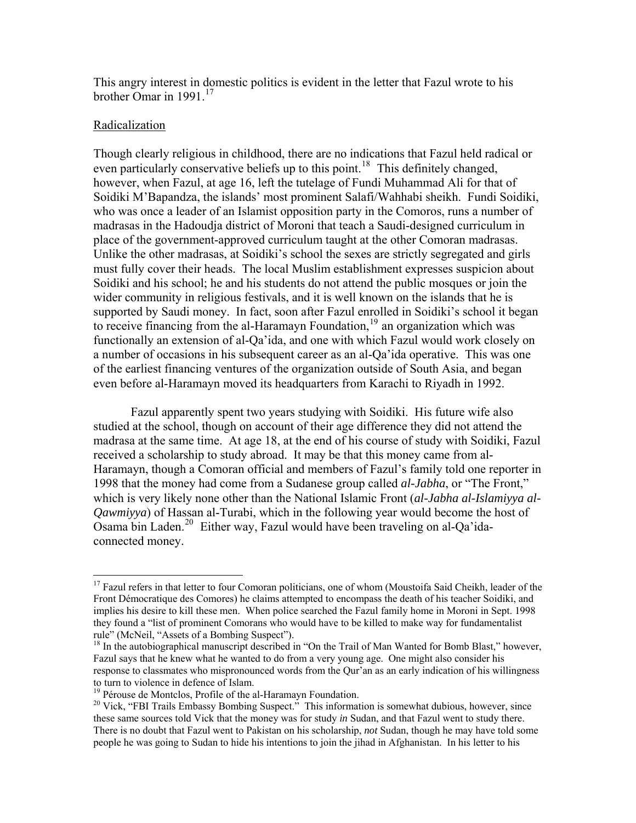This angry interest in domestic politics is evident in the letter that Fazul wrote to his brother Omar in 1991 $17$ 

#### Radicalization

 $\overline{a}$ 

Though clearly religious in childhood, there are no indications that Fazul held radical or even particularly conservative beliefs up to this point.<sup>[18](#page-3-1)</sup> This definitely changed, however, when Fazul, at age 16, left the tutelage of Fundi Muhammad Ali for that of Soidiki M'Bapandza, the islands' most prominent Salafi/Wahhabi sheikh. Fundi Soidiki, who was once a leader of an Islamist opposition party in the Comoros, runs a number of madrasas in the Hadoudja district of Moroni that teach a Saudi-designed curriculum in place of the government-approved curriculum taught at the other Comoran madrasas. Unlike the other madrasas, at Soidiki's school the sexes are strictly segregated and girls must fully cover their heads. The local Muslim establishment expresses suspicion about Soidiki and his school; he and his students do not attend the public mosques or join the wider community in religious festivals, and it is well known on the islands that he is supported by Saudi money. In fact, soon after Fazul enrolled in Soidiki's school it began to receive financing from the al-Haramayn Foundation, $19$  an organization which was functionally an extension of al-Qa'ida, and one with which Fazul would work closely on a number of occasions in his subsequent career as an al-Qa'ida operative. This was one of the earliest financing ventures of the organization outside of South Asia, and began even before al-Haramayn moved its headquarters from Karachi to Riyadh in 1992.

Fazul apparently spent two years studying with Soidiki. His future wife also studied at the school, though on account of their age difference they did not attend the madrasa at the same time. At age 18, at the end of his course of study with Soidiki, Fazul received a scholarship to study abroad. It may be that this money came from al-Haramayn, though a Comoran official and members of Fazul's family told one reporter in 1998 that the money had come from a Sudanese group called *al-Jabha*, or "The Front," which is very likely none other than the National Islamic Front (*al-Jabha al-Islamiyya al-Qawmiyya*) of Hassan al-Turabi, which in the following year would become the host of Osama bin Laden.<sup>[20](#page-3-3)</sup> Either way, Fazul would have been traveling on al-Qa'idaconnected money.

<span id="page-3-0"></span> $17$  Fazul refers in that letter to four Comoran politicians, one of whom (Moustoifa Said Cheikh, leader of the Front Démocratique des Comores) he claims attempted to encompass the death of his teacher Soidiki, and implies his desire to kill these men. When police searched the Fazul family home in Moroni in Sept. 1998 they found a "list of prominent Comorans who would have to be killed to make way for fundamentalist rule" (McNeil, "Assets of a Bombing Suspect").

<span id="page-3-1"></span><sup>&</sup>lt;sup>18</sup> In the autobiographical manuscript described in "On the Trail of Man Wanted for Bomb Blast," however, Fazul says that he knew what he wanted to do from a very young age. One might also consider his response to classmates who mispronounced words from the Qur'an as an early indication of his willingness to turn to violence in defence of Islam.

<span id="page-3-2"></span><sup>&</sup>lt;sup>19</sup> Pérouse de Montclos, Profile of the al-Haramayn Foundation.

<span id="page-3-3"></span> $20$  Vick, "FBI Trails Embassy Bombing Suspect." This information is somewhat dubious, however, since these same sources told Vick that the money was for study *in* Sudan, and that Fazul went to study there. There is no doubt that Fazul went to Pakistan on his scholarship, *not* Sudan, though he may have told some people he was going to Sudan to hide his intentions to join the jihad in Afghanistan. In his letter to his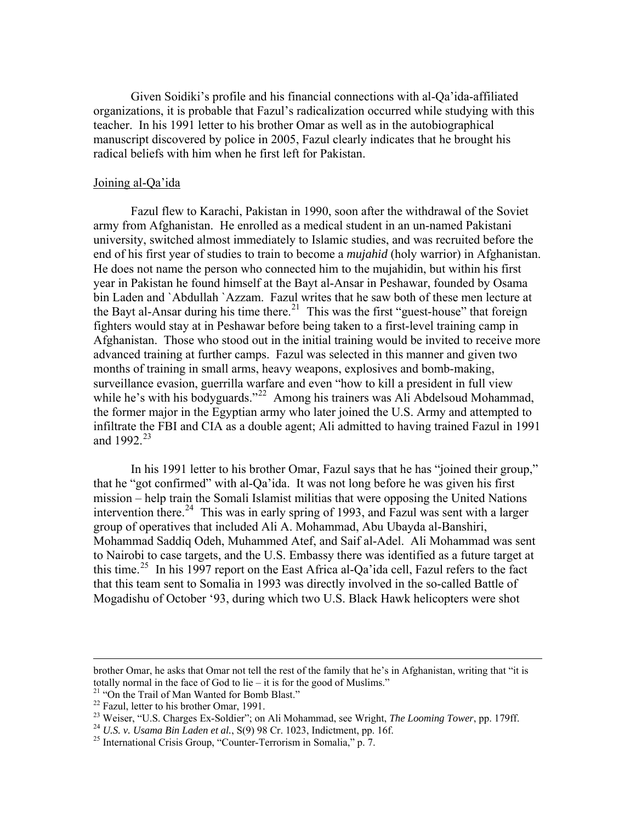Given Soidiki's profile and his financial connections with al-Qa'ida-affiliated organizations, it is probable that Fazul's radicalization occurred while studying with this teacher. In his 1991 letter to his brother Omar as well as in the autobiographical manuscript discovered by police in 2005, Fazul clearly indicates that he brought his radical beliefs with him when he first left for Pakistan.

### Joining al-Qa'ida

 Fazul flew to Karachi, Pakistan in 1990, soon after the withdrawal of the Soviet army from Afghanistan. He enrolled as a medical student in an un-named Pakistani university, switched almost immediately to Islamic studies, and was recruited before the end of his first year of studies to train to become a *mujahid* (holy warrior) in Afghanistan. He does not name the person who connected him to the mujahidin, but within his first year in Pakistan he found himself at the Bayt al-Ansar in Peshawar, founded by Osama bin Laden and `Abdullah `Azzam. Fazul writes that he saw both of these men lecture at the Bayt al-Ansar during his time there.<sup>[21](#page-4-0)</sup> This was the first "guest-house" that foreign fighters would stay at in Peshawar before being taken to a first-level training camp in Afghanistan. Those who stood out in the initial training would be invited to receive more advanced training at further camps. Fazul was selected in this manner and given two months of training in small arms, heavy weapons, explosives and bomb-making, surveillance evasion, guerrilla warfare and even "how to kill a president in full view while he's with his bodyguards."<sup>[22](#page-4-1)</sup> Among his trainers was Ali Abdelsoud Mohammad, the former major in the Egyptian army who later joined the U.S. Army and attempted to infiltrate the FBI and CIA as a double agent; Ali admitted to having trained Fazul in 1991 and  $1992.<sup>23</sup>$  $1992.<sup>23</sup>$  $1992.<sup>23</sup>$ 

In his 1991 letter to his brother Omar, Fazul says that he has "joined their group," that he "got confirmed" with al-Qa'ida. It was not long before he was given his first mission – help train the Somali Islamist militias that were opposing the United Nations intervention there.<sup>[24](#page-4-3)</sup> This was in early spring of 1993, and Fazul was sent with a larger group of operatives that included Ali A. Mohammad, Abu Ubayda al-Banshiri, Mohammad Saddiq Odeh, Muhammed Atef, and Saif al-Adel. Ali Mohammad was sent to Nairobi to case targets, and the U.S. Embassy there was identified as a future target at this time.<sup>[25](#page-4-4)</sup> In his 1997 report on the East Africa al-Qa'ida cell, Fazul refers to the fact that this team sent to Somalia in 1993 was directly involved in the so-called Battle of Mogadishu of October '93, during which two U.S. Black Hawk helicopters were shot

brother Omar, he asks that Omar not tell the rest of the family that he's in Afghanistan, writing that "it is totally normal in the face of God to lie – it is for the good of Muslims." <sup>21</sup> "On the Trail of Man Wanted for Bomb Blast."

<span id="page-4-1"></span><span id="page-4-0"></span> $22$  Fazul, letter to his brother Omar, 1991.

<span id="page-4-3"></span><span id="page-4-2"></span><sup>&</sup>lt;sup>23</sup> Weiser, "U.S. Charges Ex-Soldier"; on Ali Mohammad, see Wright, *The Looming Tower*, pp. 179ff.<br><sup>24</sup> U.S. v. Usama Bin Laden et al.,  $S(9)$  98 Cr. 1023, Indictment, pp. 16f.<br><sup>25</sup> International Crisis Group, "Counter-

<span id="page-4-4"></span>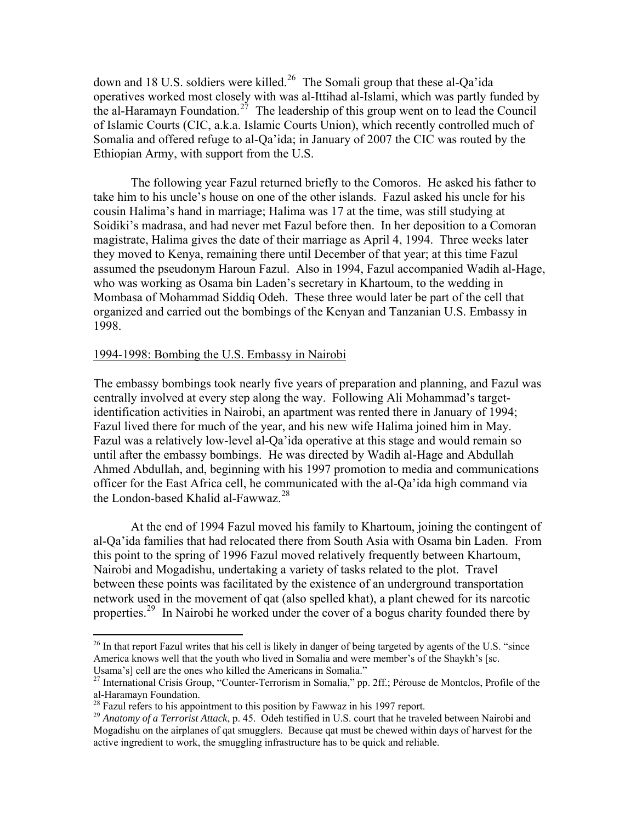down and 18 U.S. soldiers were killed.<sup>[26](#page-5-0)</sup> The Somali group that these al-Qa'ida operatives worked most closely with was al-Ittihad al-Islami, which was partly funded by the al-Haramayn Foundation.<sup>[27](#page-5-1)</sup> The leadership of this group went on to lead the Council of Islamic Courts (CIC, a.k.a. Islamic Courts Union), which recently controlled much of Somalia and offered refuge to al-Qa'ida; in January of 2007 the CIC was routed by the Ethiopian Army, with support from the U.S.

The following year Fazul returned briefly to the Comoros. He asked his father to take him to his uncle's house on one of the other islands. Fazul asked his uncle for his cousin Halima's hand in marriage; Halima was 17 at the time, was still studying at Soidiki's madrasa, and had never met Fazul before then. In her deposition to a Comoran magistrate, Halima gives the date of their marriage as April 4, 1994. Three weeks later they moved to Kenya, remaining there until December of that year; at this time Fazul assumed the pseudonym Haroun Fazul. Also in 1994, Fazul accompanied Wadih al-Hage, who was working as Osama bin Laden's secretary in Khartoum, to the wedding in Mombasa of Mohammad Siddiq Odeh. These three would later be part of the cell that organized and carried out the bombings of the Kenyan and Tanzanian U.S. Embassy in 1998.

### 1994-1998: Bombing the U.S. Embassy in Nairobi

The embassy bombings took nearly five years of preparation and planning, and Fazul was centrally involved at every step along the way. Following Ali Mohammad's targetidentification activities in Nairobi, an apartment was rented there in January of 1994; Fazul lived there for much of the year, and his new wife Halima joined him in May. Fazul was a relatively low-level al-Qa'ida operative at this stage and would remain so until after the embassy bombings. He was directed by Wadih al-Hage and Abdullah Ahmed Abdullah, and, beginning with his 1997 promotion to media and communications officer for the East Africa cell, he communicated with the al-Qa'ida high command via the London-based Khalid al-Fawwaz.<sup>[28](#page-5-2)</sup>

At the end of 1994 Fazul moved his family to Khartoum, joining the contingent of al-Qa'ida families that had relocated there from South Asia with Osama bin Laden. From this point to the spring of 1996 Fazul moved relatively frequently between Khartoum, Nairobi and Mogadishu, undertaking a variety of tasks related to the plot. Travel between these points was facilitated by the existence of an underground transportation network used in the movement of qat (also spelled khat), a plant chewed for its narcotic properties.[29](#page-5-3) In Nairobi he worked under the cover of a bogus charity founded there by

<span id="page-5-0"></span> $26$  In that report Fazul writes that his cell is likely in danger of being targeted by agents of the U.S. "since America knows well that the youth who lived in Somalia and were member's of the Shaykh's [sc. Usama's] cell are the ones who killed the Americans in Somalia."

<span id="page-5-1"></span><sup>&</sup>lt;sup>27</sup> International Crisis Group, "Counter-Terrorism in Somalia," pp. 2ff.; Pérouse de Montclos, Profile of the al-Haramayn Foundation.

 $28$  Fazul refers to his appointment to this position by Fawwaz in his 1997 report.

<span id="page-5-3"></span><span id="page-5-2"></span><sup>&</sup>lt;sup>29</sup> *Anatomy of a Terrorist Attack*, p. 45. Odeh testified in U.S. court that he traveled between Nairobi and Mogadishu on the airplanes of qat smugglers. Because qat must be chewed within days of harvest for the active ingredient to work, the smuggling infrastructure has to be quick and reliable.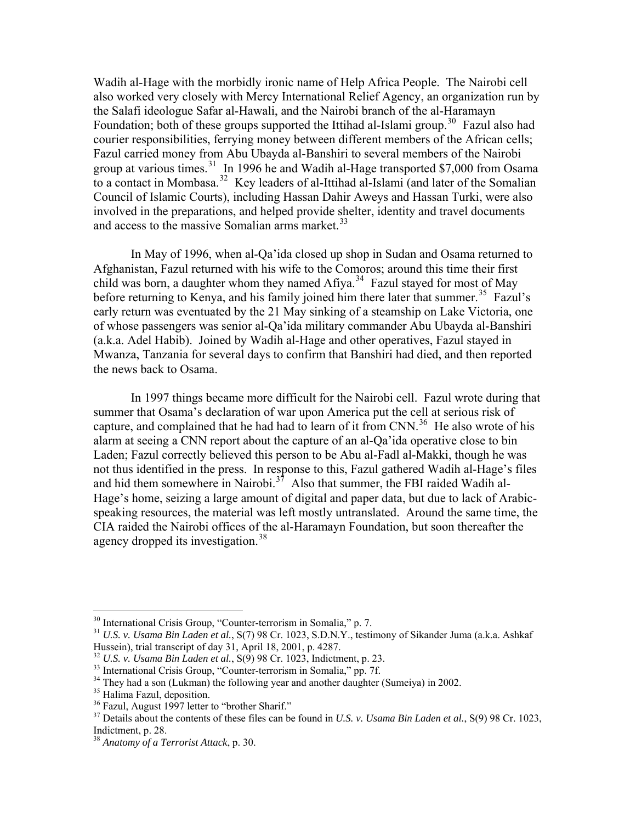Wadih al-Hage with the morbidly ironic name of Help Africa People. The Nairobi cell also worked very closely with Mercy International Relief Agency, an organization run by the Salafi ideologue Safar al-Hawali, and the Nairobi branch of the al-Haramayn Foundation; both of these groups supported the Ittihad al-Islami group.<sup>[30](#page-6-0)</sup> Fazul also had courier responsibilities, ferrying money between different members of the African cells; Fazul carried money from Abu Ubayda al-Banshiri to several members of the Nairobi group at various times.<sup>[31](#page-6-1)</sup> In 1996 he and Wadih al-Hage transported \$7,000 from Osama to a contact in Mombasa.<sup>[32](#page-6-2)</sup> Key leaders of al-Ittihad al-Islami (and later of the Somalian Council of Islamic Courts), including Hassan Dahir Aweys and Hassan Turki, were also involved in the preparations, and helped provide shelter, identity and travel documents and access to the massive Somalian arms market. $33$ 

In May of 1996, when al-Qa'ida closed up shop in Sudan and Osama returned to Afghanistan, Fazul returned with his wife to the Comoros; around this time their first child was born, a daughter whom they named Afiya.<sup>[34](#page-6-4)</sup> Fazul stayed for most of May before returning to Kenya, and his family joined him there later that summer.<sup>[35](#page-6-5)</sup> Fazul's early return was eventuated by the 21 May sinking of a steamship on Lake Victoria, one of whose passengers was senior al-Qa'ida military commander Abu Ubayda al-Banshiri (a.k.a. Adel Habib). Joined by Wadih al-Hage and other operatives, Fazul stayed in Mwanza, Tanzania for several days to confirm that Banshiri had died, and then reported the news back to Osama.

In 1997 things became more difficult for the Nairobi cell. Fazul wrote during that summer that Osama's declaration of war upon America put the cell at serious risk of capture, and complained that he had had to learn of it from CNN.<sup>[36](#page-6-6)</sup> He also wrote of his alarm at seeing a CNN report about the capture of an al-Qa'ida operative close to bin Laden; Fazul correctly believed this person to be Abu al-Fadl al-Makki, though he was not thus identified in the press. In response to this, Fazul gathered Wadih al-Hage's files and hid them somewhere in Nairobi.<sup>[37](#page-6-7)</sup> Also that summer, the FBI raided Wadih al-Hage's home, seizing a large amount of digital and paper data, but due to lack of Arabicspeaking resources, the material was left mostly untranslated. Around the same time, the CIA raided the Nairobi offices of the al-Haramayn Foundation, but soon thereafter the agency dropped its investigation.<sup>[38](#page-6-8)</sup>

<span id="page-6-0"></span><sup>&</sup>lt;sup>30</sup> International Crisis Group, "Counter-terrorism in Somalia," p. 7.

<span id="page-6-1"></span><sup>31</sup> *U.S. v. Usama Bin Laden et al.*, S(7) 98 Cr. 1023, S.D.N.Y., testimony of Sikander Juma (a.k.a. Ashkaf Hussein), trial transcript of day 31, April 18, 2001, p. 4287.<br><sup>32</sup> U.S. v. Usama Bin Laden et al., S(9) 98 Cr. 1023, Indictment, p. 23.

<span id="page-6-2"></span><sup>&</sup>lt;sup>33</sup> International Crisis Group, "Counter-terrorism in Somalia," pp. 7f.

<span id="page-6-4"></span><span id="page-6-3"></span><sup>&</sup>lt;sup>34</sup> They had a son (Lukman) the following year and another daughter (Sumeiya) in 2002.

<span id="page-6-5"></span><sup>&</sup>lt;sup>35</sup> Halima Fazul, deposition.

<span id="page-6-6"></span><sup>&</sup>lt;sup>36</sup> Fazul, August 1997 letter to "brother Sharif."

<span id="page-6-7"></span><sup>37</sup> Details about the contents of these files can be found in *U.S. v. Usama Bin Laden et al.*, S(9) 98 Cr. 1023, Indictment, p. 28.

<span id="page-6-8"></span><sup>38</sup> *Anatomy of a Terrorist Attack*, p. 30.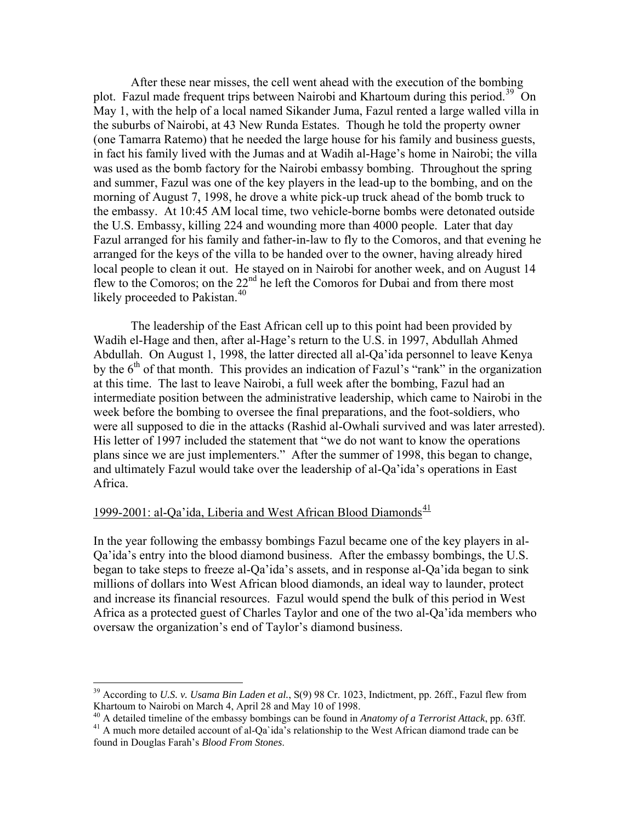After these near misses, the cell went ahead with the execution of the bombing plot. Fazul made frequent trips between Nairobi and Khartoum during this period.<sup>[39](#page-7-0)</sup> On May 1, with the help of a local named Sikander Juma, Fazul rented a large walled villa in the suburbs of Nairobi, at 43 New Runda Estates. Though he told the property owner (one Tamarra Ratemo) that he needed the large house for his family and business guests, in fact his family lived with the Jumas and at Wadih al-Hage's home in Nairobi; the villa was used as the bomb factory for the Nairobi embassy bombing. Throughout the spring and summer, Fazul was one of the key players in the lead-up to the bombing, and on the morning of August 7, 1998, he drove a white pick-up truck ahead of the bomb truck to the embassy. At 10:45 AM local time, two vehicle-borne bombs were detonated outside the U.S. Embassy, killing 224 and wounding more than 4000 people. Later that day Fazul arranged for his family and father-in-law to fly to the Comoros, and that evening he arranged for the keys of the villa to be handed over to the owner, having already hired local people to clean it out. He stayed on in Nairobi for another week, and on August 14 flew to the Comoros; on the  $22<sup>nd</sup>$  he left the Comoros for Dubai and from there most likely proceeded to Pakistan.<sup>[40](#page-7-1)</sup>

The leadership of the East African cell up to this point had been provided by Wadih el-Hage and then, after al-Hage's return to the U.S. in 1997, Abdullah Ahmed Abdullah. On August 1, 1998, the latter directed all al-Qa'ida personnel to leave Kenya by the  $6<sup>th</sup>$  of that month. This provides an indication of Fazul's "rank" in the organization at this time. The last to leave Nairobi, a full week after the bombing, Fazul had an intermediate position between the administrative leadership, which came to Nairobi in the week before the bombing to oversee the final preparations, and the foot-soldiers, who were all supposed to die in the attacks (Rashid al-Owhali survived and was later arrested). His letter of 1997 included the statement that "we do not want to know the operations plans since we are just implementers." After the summer of 1998, this began to change, and ultimately Fazul would take over the leadership of al-Qa'ida's operations in East Africa.

# 1999-2001: al-Qa'ida, Liberia and West African Blood Diamonds<sup>[41](#page-7-2)</sup>

 $\overline{a}$ 

In the year following the embassy bombings Fazul became one of the key players in al-Qa'ida's entry into the blood diamond business. After the embassy bombings, the U.S. began to take steps to freeze al-Qa'ida's assets, and in response al-Qa'ida began to sink millions of dollars into West African blood diamonds, an ideal way to launder, protect and increase its financial resources. Fazul would spend the bulk of this period in West Africa as a protected guest of Charles Taylor and one of the two al-Qa'ida members who oversaw the organization's end of Taylor's diamond business.

<span id="page-7-0"></span><sup>&</sup>lt;sup>39</sup> According to *U.S. v. Usama Bin Laden et al.*, S(9) 98 Cr. 1023, Indictment, pp. 26ff., Fazul flew from Khartoum to Nairobi on March 4, April 28 and May 10 of 1998.<br><sup>40</sup> A detailed timeline of the embassy bombings can be found in *Anatomy of a Terrorist Attack*, pp. 63ff.

<span id="page-7-2"></span><span id="page-7-1"></span><sup>&</sup>lt;sup>41</sup> A much more detailed account of al-Qa`ida<sup>'</sup>s relationship to the West African diamond trade can be found in Douglas Farah's *Blood From Stones*.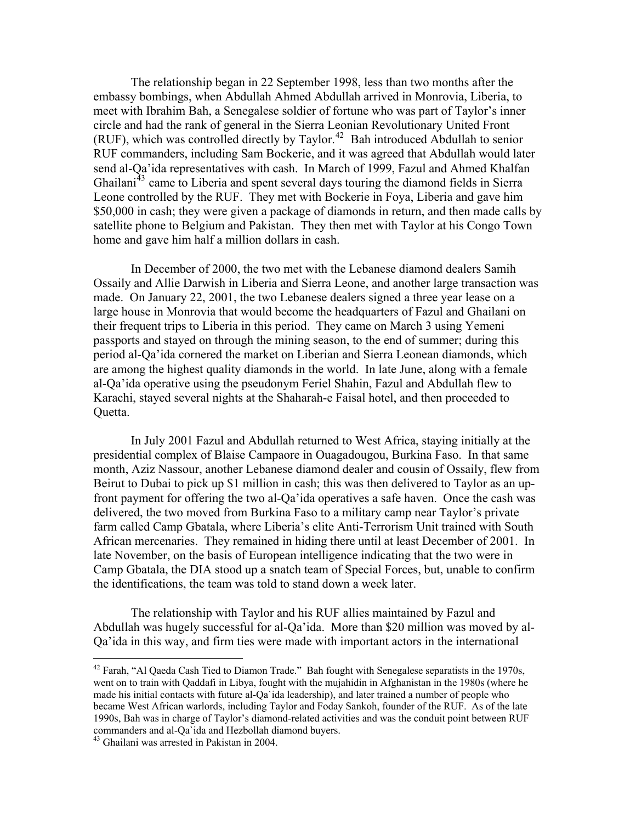The relationship began in 22 September 1998, less than two months after the embassy bombings, when Abdullah Ahmed Abdullah arrived in Monrovia, Liberia, to meet with Ibrahim Bah, a Senegalese soldier of fortune who was part of Taylor's inner circle and had the rank of general in the Sierra Leonian Revolutionary United Front (RUF), which was controlled directly by Taylor.<sup>[42](#page-8-0)</sup> Bah introduced Abdullah to senior RUF commanders, including Sam Bockerie, and it was agreed that Abdullah would later send al-Qa'ida representatives with cash. In March of 1999, Fazul and Ahmed Khalfan Ghailani<sup>[43](#page-8-1)</sup> came to Liberia and spent several days touring the diamond fields in Sierra Leone controlled by the RUF. They met with Bockerie in Foya, Liberia and gave him \$50,000 in cash; they were given a package of diamonds in return, and then made calls by satellite phone to Belgium and Pakistan. They then met with Taylor at his Congo Town home and gave him half a million dollars in cash.

In December of 2000, the two met with the Lebanese diamond dealers Samih Ossaily and Allie Darwish in Liberia and Sierra Leone, and another large transaction was made. On January 22, 2001, the two Lebanese dealers signed a three year lease on a large house in Monrovia that would become the headquarters of Fazul and Ghailani on their frequent trips to Liberia in this period. They came on March 3 using Yemeni passports and stayed on through the mining season, to the end of summer; during this period al-Qa'ida cornered the market on Liberian and Sierra Leonean diamonds, which are among the highest quality diamonds in the world. In late June, along with a female al-Qa'ida operative using the pseudonym Feriel Shahin, Fazul and Abdullah flew to Karachi, stayed several nights at the Shaharah-e Faisal hotel, and then proceeded to Quetta.

In July 2001 Fazul and Abdullah returned to West Africa, staying initially at the presidential complex of Blaise Campaore in Ouagadougou, Burkina Faso. In that same month, Aziz Nassour, another Lebanese diamond dealer and cousin of Ossaily, flew from Beirut to Dubai to pick up \$1 million in cash; this was then delivered to Taylor as an upfront payment for offering the two al-Qa'ida operatives a safe haven. Once the cash was delivered, the two moved from Burkina Faso to a military camp near Taylor's private farm called Camp Gbatala, where Liberia's elite Anti-Terrorism Unit trained with South African mercenaries. They remained in hiding there until at least December of 2001. In late November, on the basis of European intelligence indicating that the two were in Camp Gbatala, the DIA stood up a snatch team of Special Forces, but, unable to confirm the identifications, the team was told to stand down a week later.

The relationship with Taylor and his RUF allies maintained by Fazul and Abdullah was hugely successful for al-Qa'ida. More than \$20 million was moved by al-Qa'ida in this way, and firm ties were made with important actors in the international

<span id="page-8-0"></span> $42$  Farah, "Al Qaeda Cash Tied to Diamon Trade." Bah fought with Senegalese separatists in the 1970s, went on to train with Qaddafi in Libya, fought with the mujahidin in Afghanistan in the 1980s (where he made his initial contacts with future al-Qa`ida leadership), and later trained a number of people who became West African warlords, including Taylor and Foday Sankoh, founder of the RUF. As of the late 1990s, Bah was in charge of Taylor's diamond-related activities and was the conduit point between RUF commanders and al-Qa`ida and Hezbollah diamond buyers.

<span id="page-8-1"></span><sup>43</sup> Ghailani was arrested in Pakistan in 2004.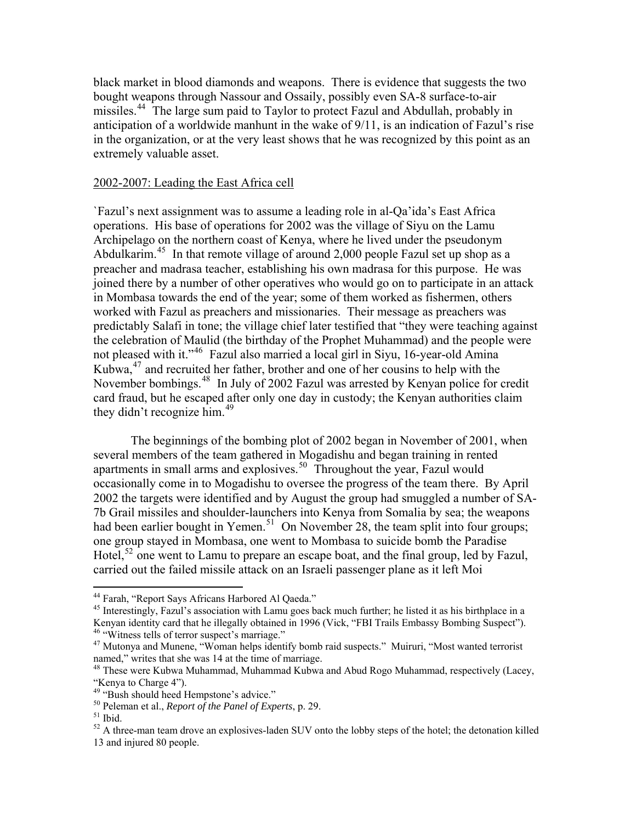black market in blood diamonds and weapons. There is evidence that suggests the two bought weapons through Nassour and Ossaily, possibly even SA-8 surface-to-air missiles.<sup>[44](#page-9-0)</sup> The large sum paid to Taylor to protect Fazul and Abdullah, probably in anticipation of a worldwide manhunt in the wake of 9/11, is an indication of Fazul's rise in the organization, or at the very least shows that he was recognized by this point as an extremely valuable asset.

#### 2002-2007: Leading the East Africa cell

`Fazul's next assignment was to assume a leading role in al-Qa'ida's East Africa operations. His base of operations for 2002 was the village of Siyu on the Lamu Archipelago on the northern coast of Kenya, where he lived under the pseudonym Abdulkarim.<sup>[45](#page-9-1)</sup> In that remote village of around 2,000 people Fazul set up shop as a preacher and madrasa teacher, establishing his own madrasa for this purpose. He was joined there by a number of other operatives who would go on to participate in an attack in Mombasa towards the end of the year; some of them worked as fishermen, others worked with Fazul as preachers and missionaries. Their message as preachers was predictably Salafi in tone; the village chief later testified that "they were teaching against the celebration of Maulid (the birthday of the Prophet Muhammad) and the people were not pleased with it."<sup>[46](#page-9-2)</sup> Fazul also married a local girl in Siyu, 16-year-old Amina Kubwa, $47$  and recruited her father, brother and one of her cousins to help with the November bombings.<sup>[48](#page-9-4)</sup> In July of 2002 Fazul was arrested by Kenyan police for credit card fraud, but he escaped after only one day in custody; the Kenyan authorities claim they didn't recognize him.<sup>[49](#page-9-5)</sup>

The beginnings of the bombing plot of 2002 began in November of 2001, when several members of the team gathered in Mogadishu and began training in rented apartments in small arms and explosives.<sup>[50](#page-9-6)</sup> Throughout the year, Fazul would occasionally come in to Mogadishu to oversee the progress of the team there. By April 2002 the targets were identified and by August the group had smuggled a number of SA-7b Grail missiles and shoulder-launchers into Kenya from Somalia by sea; the weapons had been earlier bought in Yemen.<sup>[51](#page-9-7)</sup> On November 28, the team split into four groups; one group stayed in Mombasa, one went to Mombasa to suicide bomb the Paradise Hotel,<sup>[52](#page-9-8)</sup> one went to Lamu to prepare an escape boat, and the final group, led by Fazul, carried out the failed missile attack on an Israeli passenger plane as it left Moi

<span id="page-9-0"></span><sup>&</sup>lt;sup>44</sup> Farah, "Report Says Africans Harbored Al Qaeda."

<span id="page-9-1"></span> $45$  Interestingly, Fazul's association with Lamu goes back much further; he listed it as his birthplace in a Kenyan identity card that he illegally obtained in 1996 (Vick, "FBI Trails Embassy Bombing Suspect"). <sup>46</sup> "Witness tells of terror suspect's marriage."

<span id="page-9-3"></span><span id="page-9-2"></span><sup>&</sup>lt;sup>47</sup> Mutonya and Munene, "Woman helps identify bomb raid suspects." Muiruri, "Most wanted terrorist named," writes that she was 14 at the time of marriage.

<span id="page-9-4"></span><sup>&</sup>lt;sup>48</sup> These were Kubwa Muhammad, Muhammad Kubwa and Abud Rogo Muhammad, respectively (Lacey, "Kenya to Charge 4").

<span id="page-9-5"></span><sup>&</sup>lt;sup>49</sup> "Bush should heed Hempstone's advice."

<span id="page-9-6"></span><sup>&</sup>lt;sup>50</sup> Peleman et al., *Report of the Panel of Experts*, p. 29. <sup>51</sup> Ibid.

<span id="page-9-8"></span><span id="page-9-7"></span><sup>&</sup>lt;sup>52</sup> A three-man team drove an explosives-laden SUV onto the lobby steps of the hotel; the detonation killed 13 and injured 80 people.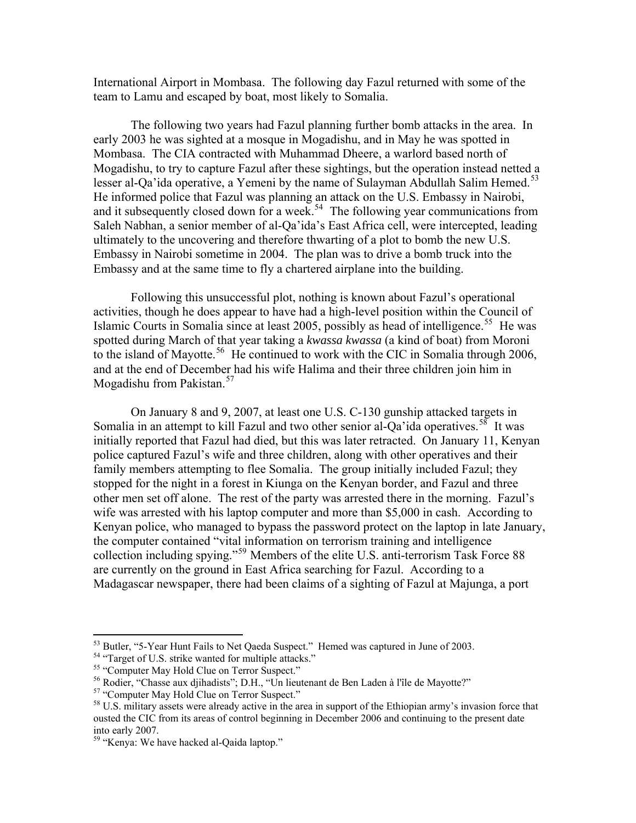International Airport in Mombasa. The following day Fazul returned with some of the team to Lamu and escaped by boat, most likely to Somalia.

The following two years had Fazul planning further bomb attacks in the area. In early 2003 he was sighted at a mosque in Mogadishu, and in May he was spotted in Mombasa. The CIA contracted with Muhammad Dheere, a warlord based north of Mogadishu, to try to capture Fazul after these sightings, but the operation instead netted a lesser al-Qa'ida operative, a Yemeni by the name of Sulayman Abdullah Salim Hemed.<sup>[53](#page-10-0)</sup> He informed police that Fazul was planning an attack on the U.S. Embassy in Nairobi, and it subsequently closed down for a week.<sup>[54](#page-10-1)</sup> The following year communications from Saleh Nabhan, a senior member of al-Qa'ida's East Africa cell, were intercepted, leading ultimately to the uncovering and therefore thwarting of a plot to bomb the new U.S. Embassy in Nairobi sometime in 2004. The plan was to drive a bomb truck into the Embassy and at the same time to fly a chartered airplane into the building.

Following this unsuccessful plot, nothing is known about Fazul's operational activities, though he does appear to have had a high-level position within the Council of Islamic Courts in Somalia since at least 2005, possibly as head of intelligence.<sup>[55](#page-10-2)</sup> He was spotted during March of that year taking a *kwassa kwassa* (a kind of boat) from Moroni to the island of Mayotte.<sup>[56](#page-10-3)</sup> He continued to work with the CIC in Somalia through 2006, and at the end of December had his wife Halima and their three children join him in Mogadishu from Pakistan.<sup>[57](#page-10-4)</sup>

On January 8 and 9, 2007, at least one U.S. C-130 gunship attacked targets in Somalia in an attempt to kill Fazul and two other senior al- $\overline{O}a'$  ida operatives.<sup>[58](#page-10-5)</sup> It was initially reported that Fazul had died, but this was later retracted. On January 11, Kenyan police captured Fazul's wife and three children, along with other operatives and their family members attempting to flee Somalia. The group initially included Fazul; they stopped for the night in a forest in Kiunga on the Kenyan border, and Fazul and three other men set off alone. The rest of the party was arrested there in the morning. Fazul's wife was arrested with his laptop computer and more than \$5,000 in cash. According to Kenyan police, who managed to bypass the password protect on the laptop in late January, the computer contained "vital information on terrorism training and intelligence collection including spying."[59](#page-10-6) Members of the elite U.S. anti-terrorism Task Force 88 are currently on the ground in East Africa searching for Fazul. According to a Madagascar newspaper, there had been claims of a sighting of Fazul at Majunga, a port

<span id="page-10-0"></span> $53$  Butler, "5-Year Hunt Fails to Net Qaeda Suspect." Hemed was captured in June of 2003.  $54$  "Target of U.S. strike wanted for multiple attacks."

<span id="page-10-2"></span><span id="page-10-1"></span><sup>&</sup>lt;sup>55</sup> "Computer May Hold Clue on Terror Suspect."

<span id="page-10-3"></span><sup>56</sup> Rodier, "Chasse aux djihadists"; D.H., "Un lieutenant de Ben Laden à l'île de Mayotte?"

<span id="page-10-4"></span><sup>&</sup>lt;sup>57</sup> "Computer May Hold Clue on Terror Suspect."

<span id="page-10-5"></span><sup>&</sup>lt;sup>58</sup> U.S. military assets were already active in the area in support of the Ethiopian army's invasion force that ousted the CIC from its areas of control beginning in December 2006 and continuing to the present date into early 2007.

<span id="page-10-6"></span><sup>&</sup>lt;sup>59</sup> "Kenya: We have hacked al-Qaida laptop."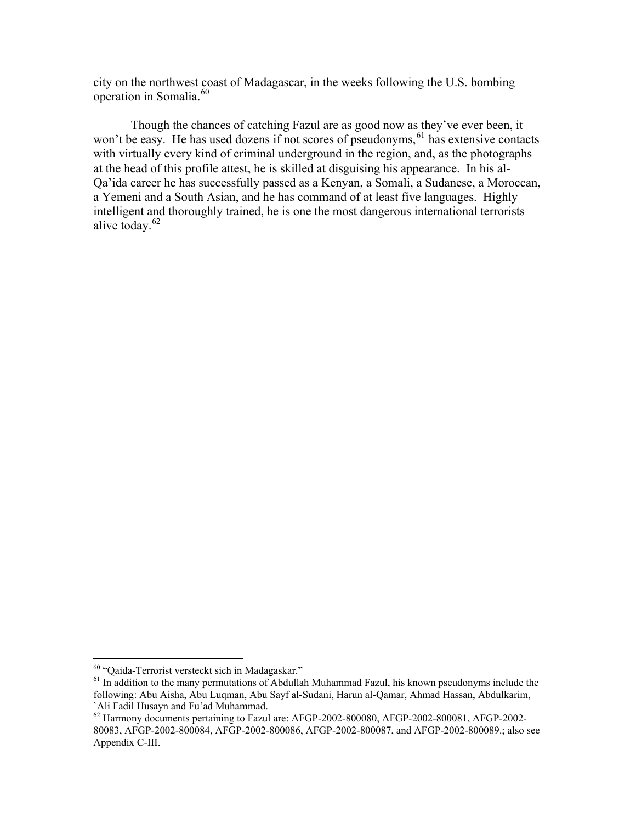city on the northwest coast of Madagascar, in the weeks following the U.S. bombing operation in Somalia.<sup>[60](#page-11-0)</sup>

Though the chances of catching Fazul are as good now as they've ever been, it won't be easy. He has used dozens if not scores of pseudonyms,  $61$  has extensive contacts with virtually every kind of criminal underground in the region, and, as the photographs at the head of this profile attest, he is skilled at disguising his appearance. In his al-Qa'ida career he has successfully passed as a Kenyan, a Somali, a Sudanese, a Moroccan, a Yemeni and a South Asian, and he has command of at least five languages. Highly intelligent and thoroughly trained, he is one the most dangerous international terrorists alive today.[62](#page-11-2)

<span id="page-11-0"></span><sup>&</sup>lt;sup>60</sup> "Qaida-Terrorist versteckt sich in Madagaskar."

<span id="page-11-1"></span> $61$  In addition to the many permutations of Abdullah Muhammad Fazul, his known pseudonyms include the following: Abu Aisha, Abu Luqman, Abu Sayf al-Sudani, Harun al-Qamar, Ahmad Hassan, Abdulkarim, `Ali Fadil Husayn and Fu'ad Muhammad.

<span id="page-11-2"></span><sup>&</sup>lt;sup>62</sup> Harmony documents pertaining to Fazul are: AFGP-2002-800080, AFGP-2002-800081, AFGP-2002-80083, AFGP-2002-800084, AFGP-2002-800086, AFGP-2002-800087, and AFGP-2002-800089.; also see Appendix C-III.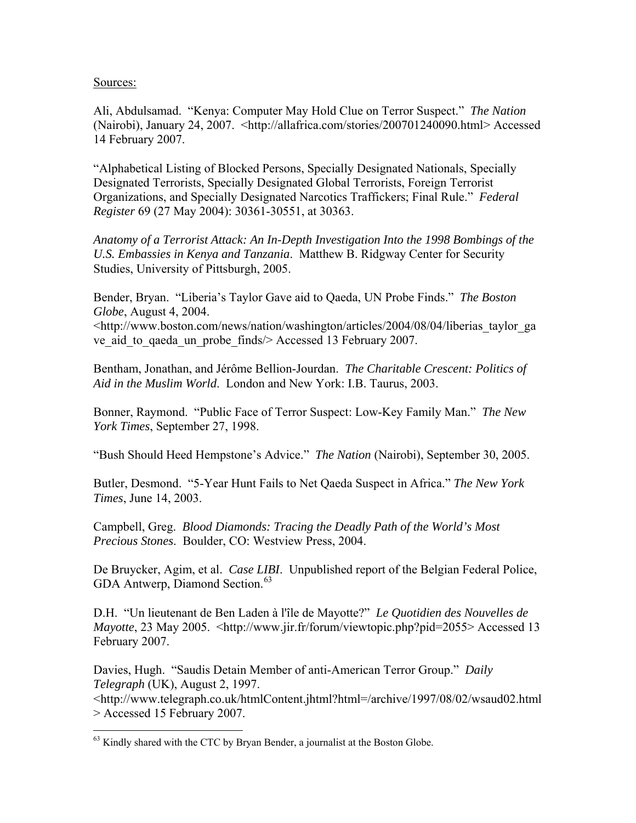Sources:

 $\overline{a}$ 

Ali, Abdulsamad. "Kenya: Computer May Hold Clue on Terror Suspect." *The Nation* (Nairobi), January 24, 2007. <http://allafrica.com/stories/200701240090.html> Accessed 14 February 2007.

"Alphabetical Listing of Blocked Persons, Specially Designated Nationals, Specially Designated Terrorists, Specially Designated Global Terrorists, Foreign Terrorist Organizations, and Specially Designated Narcotics Traffickers; Final Rule." *Federal Register* 69 (27 May 2004): 30361-30551, at 30363.

*Anatomy of a Terrorist Attack: An In-Depth Investigation Into the 1998 Bombings of the U.S. Embassies in Kenya and Tanzania*. Matthew B. Ridgway Center for Security Studies, University of Pittsburgh, 2005.

Bender, Bryan. "Liberia's Taylor Gave aid to Qaeda, UN Probe Finds." *The Boston Globe*, August 4, 2004.

<http://www.boston.com/news/nation/washington/articles/2004/08/04/liberias\_taylor\_ga ve aid to qaeda un probe finds/> Accessed 13 February 2007.

Bentham, Jonathan, and Jérôme Bellion-Jourdan. *The Charitable Crescent: Politics of Aid in the Muslim World*. London and New York: I.B. Taurus, 2003.

Bonner, Raymond. "Public Face of Terror Suspect: Low-Key Family Man." *The New York Times*, September 27, 1998.

"Bush Should Heed Hempstone's Advice." *The Nation* (Nairobi), September 30, 2005.

Butler, Desmond. "5-Year Hunt Fails to Net Qaeda Suspect in Africa." *The New York Times*, June 14, 2003.

Campbell, Greg. *Blood Diamonds: Tracing the Deadly Path of the World's Most Precious Stones*. Boulder, CO: Westview Press, 2004.

De Bruycker, Agim, et al. *Case LIBI*. Unpublished report of the Belgian Federal Police, GDA Antwerp, Diamond Section.<sup>[63](#page-12-0)</sup>

D.H. "Un lieutenant de Ben Laden à l'île de Mayotte?" *Le Quotidien des Nouvelles de Mayotte*, 23 May 2005. <http://www.jir.fr/forum/viewtopic.php?pid=2055> Accessed 13 February 2007.

Davies, Hugh. "Saudis Detain Member of anti-American Terror Group." *Daily Telegraph* (UK), August 2, 1997.

<http://www.telegraph.co.uk/htmlContent.jhtml?html=/archive/1997/08/02/wsaud02.html > Accessed 15 February 2007.

<span id="page-12-0"></span> $63$  Kindly shared with the CTC by Bryan Bender, a journalist at the Boston Globe.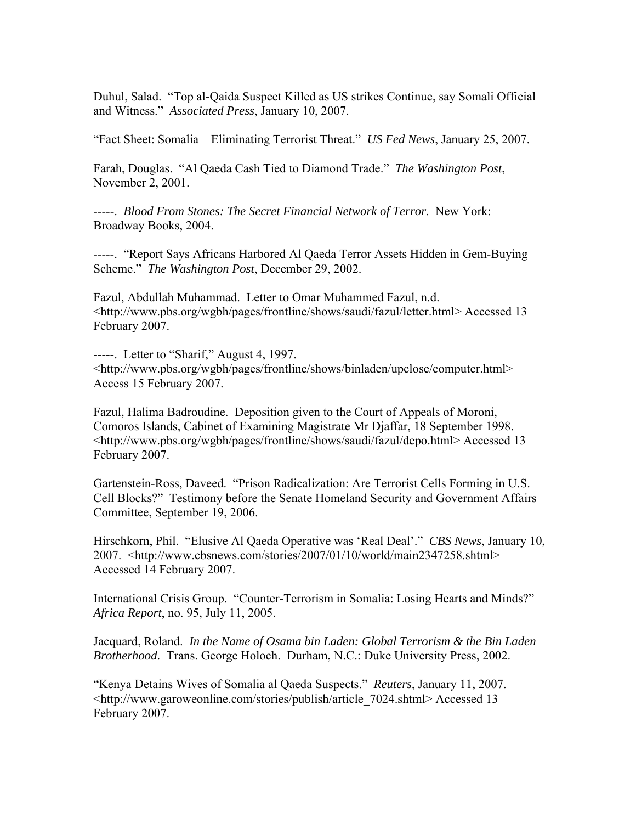Duhul, Salad. "Top al-Qaida Suspect Killed as US strikes Continue, say Somali Official and Witness." *Associated Press*, January 10, 2007.

"Fact Sheet: Somalia – Eliminating Terrorist Threat." *US Fed News*, January 25, 2007.

Farah, Douglas. "Al Qaeda Cash Tied to Diamond Trade." *The Washington Post*, November 2, 2001.

-----. *Blood From Stones: The Secret Financial Network of Terror*. New York: Broadway Books, 2004.

-----. "Report Says Africans Harbored Al Qaeda Terror Assets Hidden in Gem-Buying Scheme." *The Washington Post*, December 29, 2002.

Fazul, Abdullah Muhammad. Letter to Omar Muhammed Fazul, n.d. <http://www.pbs.org/wgbh/pages/frontline/shows/saudi/fazul/letter.html> Accessed 13 February 2007.

-----. Letter to "Sharif," August 4, 1997. <http://www.pbs.org/wgbh/pages/frontline/shows/binladen/upclose/computer.html> Access 15 February 2007.

Fazul, Halima Badroudine. Deposition given to the Court of Appeals of Moroni, Comoros Islands, Cabinet of Examining Magistrate Mr Djaffar, 18 September 1998. <http://www.pbs.org/wgbh/pages/frontline/shows/saudi/fazul/depo.html> Accessed 13 February 2007.

Gartenstein-Ross, Daveed. "Prison Radicalization: Are Terrorist Cells Forming in U.S. Cell Blocks?" Testimony before the Senate Homeland Security and Government Affairs Committee, September 19, 2006.

Hirschkorn, Phil. "Elusive Al Qaeda Operative was 'Real Deal'." *CBS News*, January 10, 2007. <http://www.cbsnews.com/stories/2007/01/10/world/main2347258.shtml> Accessed 14 February 2007.

International Crisis Group. "Counter-Terrorism in Somalia: Losing Hearts and Minds?" *Africa Report*, no. 95, July 11, 2005.

Jacquard, Roland. *In the Name of Osama bin Laden: Global Terrorism & the Bin Laden Brotherhood*. Trans. George Holoch. Durham, N.C.: Duke University Press, 2002.

"Kenya Detains Wives of Somalia al Qaeda Suspects." *Reuters*, January 11, 2007. <http://www.garoweonline.com/stories/publish/article\_7024.shtml> Accessed 13 February 2007.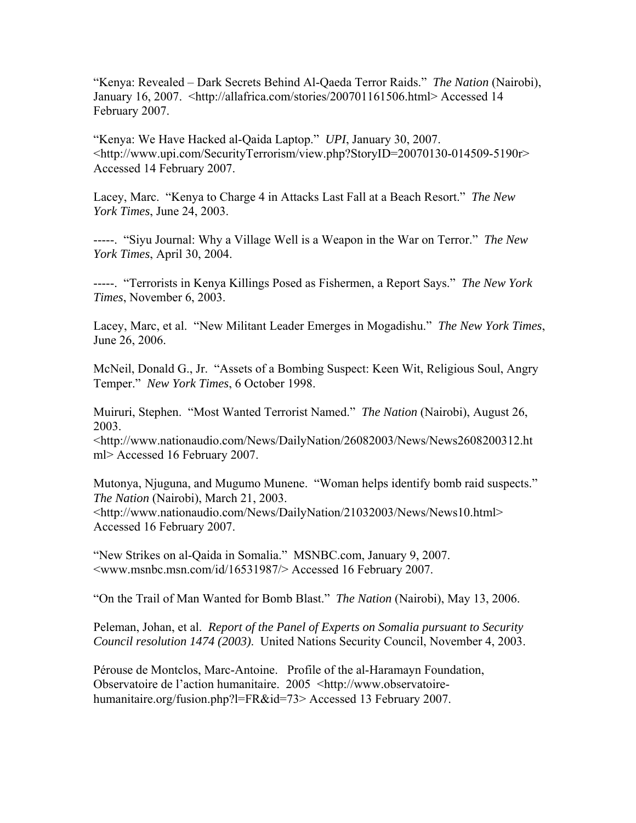"Kenya: Revealed – Dark Secrets Behind Al-Qaeda Terror Raids." *The Nation* (Nairobi), January 16, 2007. <http://allafrica.com/stories/200701161506.html> Accessed 14 February 2007.

"Kenya: We Have Hacked al-Qaida Laptop." *UPI*, January 30, 2007. <http://www.upi.com/SecurityTerrorism/view.php?StoryID=20070130-014509-5190r> Accessed 14 February 2007.

Lacey, Marc. "Kenya to Charge 4 in Attacks Last Fall at a Beach Resort." *The New York Times*, June 24, 2003.

-----. "Siyu Journal: Why a Village Well is a Weapon in the War on Terror." *The New York Times*, April 30, 2004.

-----. "Terrorists in Kenya Killings Posed as Fishermen, a Report Says." *The New York Times*, November 6, 2003.

Lacey, Marc, et al. "New Militant Leader Emerges in Mogadishu." *The New York Times*, June 26, 2006.

McNeil, Donald G., Jr. "Assets of a Bombing Suspect: Keen Wit, Religious Soul, Angry Temper." *New York Times*, 6 October 1998.

Muiruri, Stephen. "Most Wanted Terrorist Named." *The Nation* (Nairobi), August 26, 2003.

<http://www.nationaudio.com/News/DailyNation/26082003/News/News2608200312.ht ml> Accessed 16 February 2007.

Mutonya, Njuguna, and Mugumo Munene. "Woman helps identify bomb raid suspects." *The Nation* (Nairobi), March 21, 2003. <http://www.nationaudio.com/News/DailyNation/21032003/News/News10.html> Accessed 16 February 2007.

"New Strikes on al-Qaida in Somalia." MSNBC.com, January 9, 2007. <www.msnbc.msn.com/id/16531987/> Accessed 16 February 2007.

"On the Trail of Man Wanted for Bomb Blast." *The Nation* (Nairobi), May 13, 2006.

Peleman, Johan, et al. *Report of the Panel of Experts on Somalia pursuant to Security Council resolution 1474 (2003)*. United Nations Security Council, November 4, 2003.

Pérouse de Montclos, Marc-Antoine. Profile of the al-Haramayn Foundation, Observatoire de l'action humanitaire. 2005 <http://www.observatoirehumanitaire.org/fusion.php?l=FR&id=73> Accessed 13 February 2007.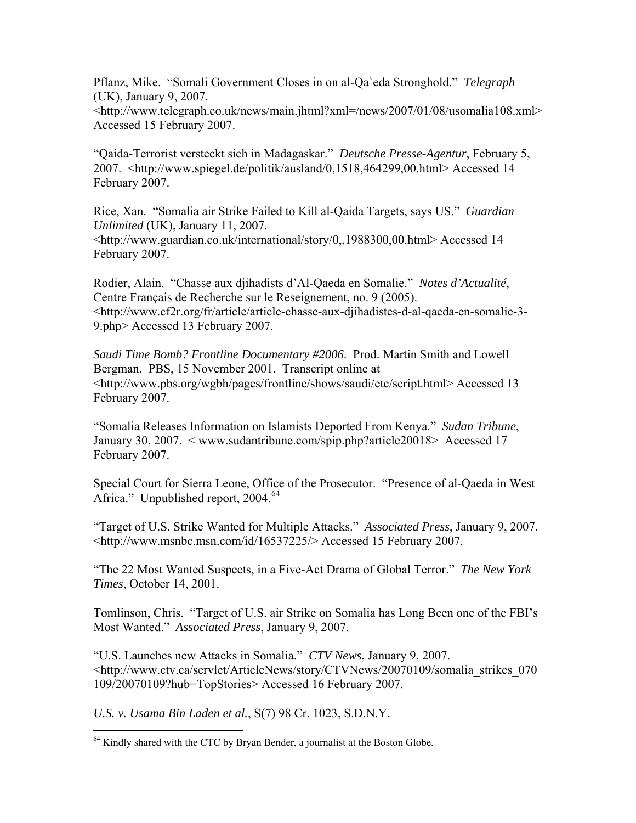Pflanz, Mike. "Somali Government Closes in on al-Qa`eda Stronghold." *Telegraph* (UK), January 9, 2007.

<http://www.telegraph.co.uk/news/main.jhtml?xml=/news/2007/01/08/usomalia108.xml> Accessed 15 February 2007.

"Qaida-Terrorist versteckt sich in Madagaskar." *Deutsche Presse-Agentur*, February 5, 2007. <http://www.spiegel.de/politik/ausland/0,1518,464299,00.html> Accessed 14 February 2007.

Rice, Xan. "Somalia air Strike Failed to Kill al-Qaida Targets, says US." *Guardian Unlimited* (UK), January 11, 2007. <http://www.guardian.co.uk/international/story/0,,1988300,00.html> Accessed 14

February 2007.

Rodier, Alain. "Chasse aux djihadists d'Al-Qaeda en Somalie." *Notes d'Actualité*, Centre Français de Recherche sur le Reseignement, no. 9 (2005). <http://www.cf2r.org/fr/article/article-chasse-aux-djihadistes-d-al-qaeda-en-somalie-3- 9.php> Accessed 13 February 2007.

*Saudi Time Bomb? Frontline Documentary #2006*. Prod. Martin Smith and Lowell Bergman. PBS, 15 November 2001. Transcript online at <http://www.pbs.org/wgbh/pages/frontline/shows/saudi/etc/script.html> Accessed 13 February 2007.

"Somalia Releases Information on Islamists Deported From Kenya." *Sudan Tribune*, January 30, 2007. < www.sudantribune.com/spip.php?article20018> Accessed 17 February 2007.

Special Court for Sierra Leone, Office of the Prosecutor. "Presence of al-Qaeda in West Africa." Unpublished report,  $2004.^{64}$  $2004.^{64}$  $2004.^{64}$ 

"Target of U.S. Strike Wanted for Multiple Attacks." *Associated Press*, January 9, 2007. <http://www.msnbc.msn.com/id/16537225/> Accessed 15 February 2007.

"The 22 Most Wanted Suspects, in a Five-Act Drama of Global Terror." *The New York Times*, October 14, 2001.

Tomlinson, Chris. "Target of U.S. air Strike on Somalia has Long Been one of the FBI's Most Wanted." *Associated Press*, January 9, 2007.

"U.S. Launches new Attacks in Somalia." *CTV News*, January 9, 2007. <http://www.ctv.ca/servlet/ArticleNews/story/CTVNews/20070109/somalia\_strikes\_070 109/20070109?hub=TopStories> Accessed 16 February 2007.

*U.S. v. Usama Bin Laden et al.*, S(7) 98 Cr. 1023, S.D.N.Y.

<span id="page-15-0"></span> $\overline{a}$  $64$  Kindly shared with the CTC by Bryan Bender, a journalist at the Boston Globe.